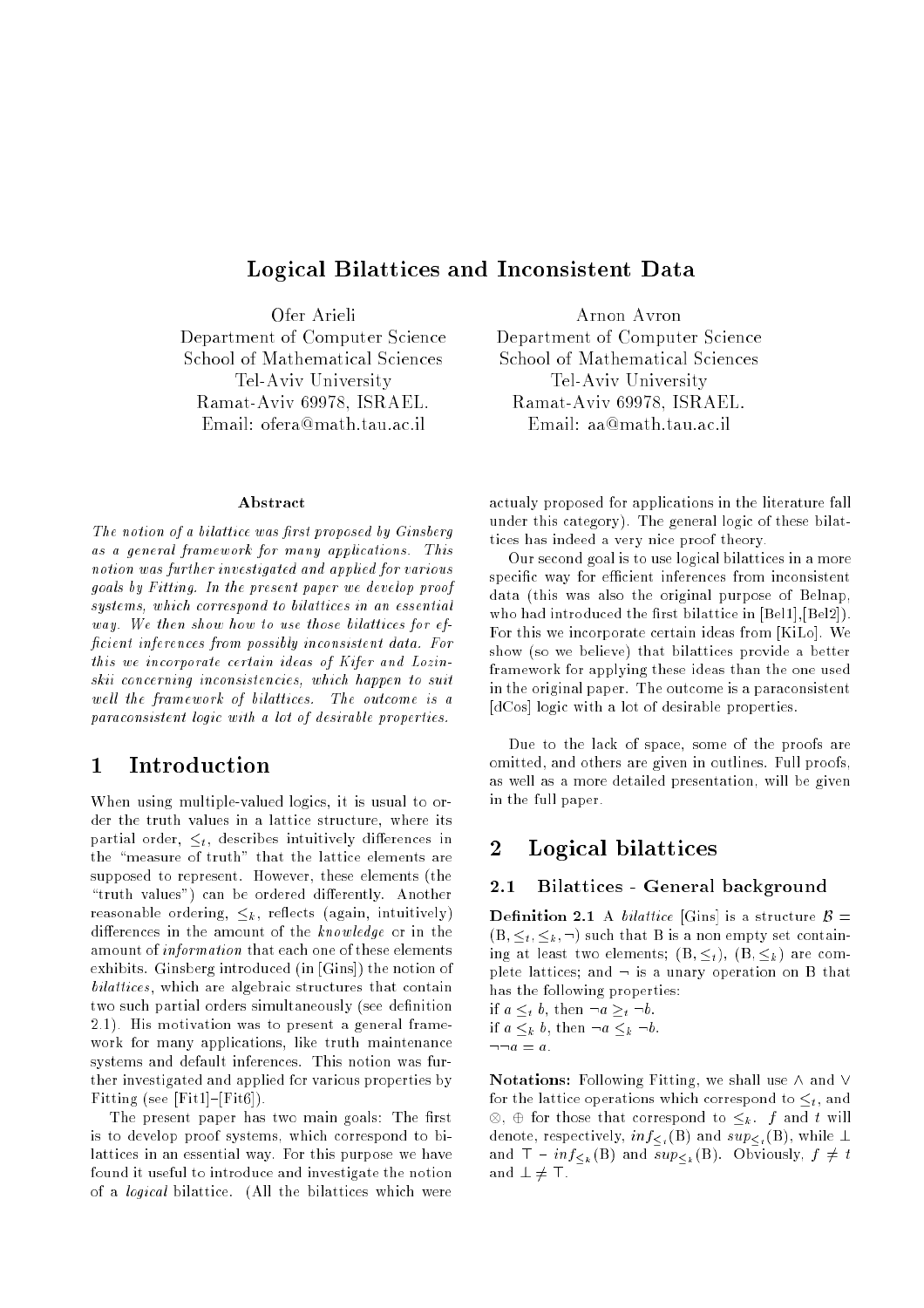# Logical Bilattices and Inconsistent Data

Ofer Arieli Department of Computer Science School of Mathematical Sciences Tel-Aviv University Ramat-Aviv 69978, ISRAEL. Email: ofera@math.tau.ac.il

#### Abstract

The notion of a bilattice was first proposed by Ginsberg as a general framework for many applications. This notion was further investigated and applied for various goals by Fitting. In the present paper we develop proof systems, which correspond to bilattices in an essential way. We then show how to use those bilattices for ef ficient inferences from possibly inconsistent data. For this we incorporate certain ideas of Kifer and Lozinskii concerning inconsistencies, which happen to suit well the framework of bilattices. The outcome is a paraconsistent logic with a lot of desirable properties.

# <sup>1</sup> Introduction

When using multiple-valued logics, it is usual to order the truth values in a lattice structure, where its partial order,  $\leq_t$ , describes intuitively differences in the "measure of truth" that the lattice elements are supposed to represent. However, these elements (the "truth values") can be ordered differently. Another reasonable ordering,  $\leq_k$ , reflects (again, intuitively) differences in the amount of the  $knowledge$  or in the amount of information that each one of these elements exhibits. Ginsberg introduced (in [Gins]) the notion of bilattices, which are algebraic structures that contain two such partial orders simultaneously (see definition 2.1). His motivation was to present a general framework for many applications, like truth maintenance systems and default inferences. This notion was further investigated and applied for various properties by Fitting (see [Fit1]-[Fit6]).

The present paper has two main goals: The first is to develop proof systems, which correspond to bilattices in an essential way. For this purpose we have found it useful to introduce and investigate the notion of a logical bilattice. (All the bilattices which were

Arnon Avron Department of Computer Science School of Mathematical Sciences Tel-Aviv University Ramat-Aviv 69978, ISRAEL. Email: aa@math.tau.ac.il

actualy proposed for applications in the literature fall under this category). The general logic of these bilattices has indeed a very nice proof theory.

Our second goal is to use logical bilattices in a more specific way for efficient inferences from inconsistent data (this was also the original purpose of Belnap, who had introduced the first bilattice in [Bel1], [Bel2]). For this we incorporate certain ideas from [KiLo]. We show (so we believe) that bilattices provide a better framework for applying these ideas than the one used in the original paper. The outcome is a paraconsistent [dCos] logic with a lot of desirable properties.

Due to the lack of space, some of the proofs are omitted, and others are given in outlines. Full proofs, as well as a more detailed presentation, will be given in the full paper.

#### $\overline{2}$ Logical bilattices

# 2.1 Bilattices - General background

**Definition 2.1** A bilattice [Gins] is a structure  $\beta =$  $(B, \leq_t, \leq_k, \neg)$  such that B is a non empty set containing at least two elements;  $(B, \leq_t)$ ,  $(B, \leq_k)$  are complete lattices; and  $\neg$  is a unary operation on B that has the following properties:

if  $a \leq_t b$ , then  $\neg a \geq_t \neg b$ . if  $a \leq_k b$ , then  $\neg a \leq_k \neg b$ .

 $\neg \neg a = a$ .

Notations: Following Fitting, we shall use  $\wedge$  and  $\vee$ for the lattice operations which correspond to  $\leq_t$ , and , we then the correspond to the  $\mu$  .  $f$  and the set denote, respectively,  $inf_{\leq t} (B)$  and  $sup_{\leq t} (B)$ , while  $\perp$ and  $\mathsf{T} - inf_{\leq k}(\mathsf{B})$  and  $sup_{\leq k}(\mathsf{B})$ . Obviously,  $f \neq t$ and  $\bot \neq \top$ .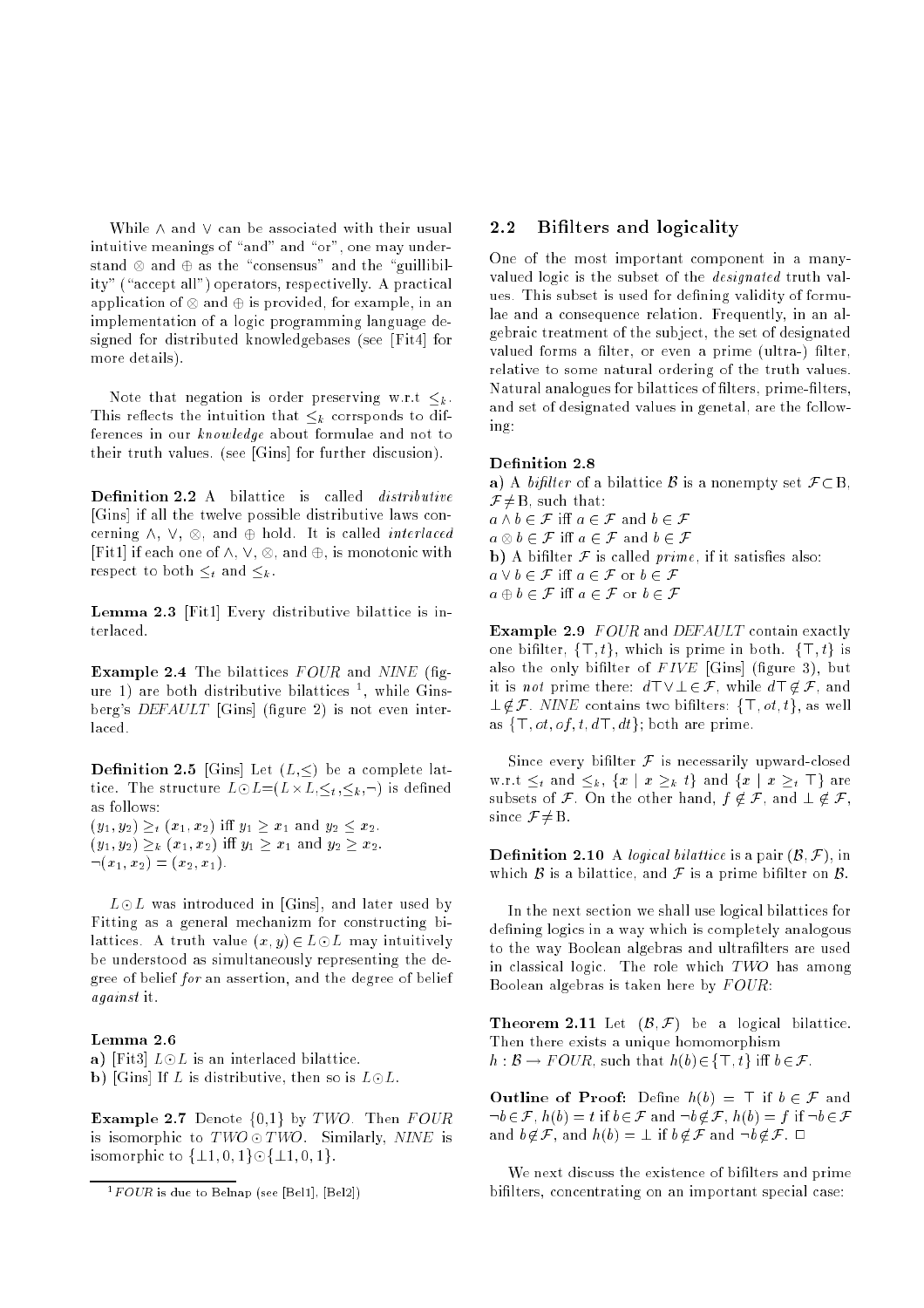While  $\wedge$  and  $\vee$  can be associated with their usual intuitive meanings of "and" and "or", one may understand as the standard and the standard and the  $\alpha$  -standard  $\alpha$ ity" ("accept all") operators, respectivelly. A practical application of  $\cup$  and  $\cup$  and example, in and  $\cup$ implementation of a logic programming language designed for distributed knowledgebases (see [Fit4] for more details).

Note that negation is order preserving w.r.t  $\leq_k$ . This reflects the intuition that  $\leq_k$  corrsponds to differences in our know ledge about formulae and not to their truth values. (see [Gins] for further discusion).

Definition 2.2 A bilattice is called *distributive* [Gins] if all the twelve possible distributive laws concorrection and the contract of the correction interlaced interlaced interlaced interlaced interlaced interlaced  $\mathcal{L}$  is the order of  $\mathcal{L}$  , is and  $\mathcal{L}$  , is monotonic with  $\mathcal{L}$  and  $\mathcal{L}$  . It is monotonic with respect to both  $\leq_t$  and  $\leq_k$ .

Lemma 2.3 [Fit1] Every distributive bilattice is interlaced.

**Example 2.4** The bilattices  $FOUR$  and  $NINE$  (figure 1) are both distributive bilattices <sup>-</sup>, while Ginsberg's *DEFAULT* [Gins] (figure 2) is not even interlaced.

**Definition 2.5** [Gins] Let  $(L,\leq)$  be a complete lat- $\sim$  structure L, is defined as the structure L, i.e., i.e., i.e., i.e., i.e., i.e., i.e., i.e., i.e., i.e., i.e., i.e., i.e., i.e., i.e., i.e., i.e., i.e., i.e., i.e., i.e., i.e., i.e., i.e., i.e., i.e., i.e., i.e., i.e. as follows:  $(y_1, y_2) \geq_t (x_1, x_2)$  iff  $y_1 \geq x_1$  and  $y_2 \leq x_2$ .  $(y_1, y_2) \geq_k (x_1, x_2)$  iff  $y_1 \geq x_1$  and  $y_2 \geq x_2$ .

 $\neg(x_1, x_2) = (x_2, x_1).$ 

 $L\odot L$  was introduced in [Gins], and later used by Fitting as <sup>a</sup> general mechanizm for constructing bilattices. A truth value  $(x, y) \in L \odot L$  may intuitively be understood as simultaneously representing the degree of belief for an assertion, and the degree of belief against it.

#### Lemma 2.6

a) [Fit3]  $L \odot L$  is an interlaced bilattice.

b) [Gins] If L is distributive, then so is  $L \odot L$ .

**Example 2.7** Denote  $\{0,1\}$  by TWO. Then FOUR is isomorphic to  $TWO \odot TWO$ . Similarly, NINE is isomorphic to  $\{\pm 1, 0, 1\} \odot \{\pm 1, 0, 1\}$ .

# 2.2 Bilters and logicality

One of the most important component in a manyvalued logic is the subset of the designated truth values. This subset is used for defining validity of formulae and a consequence relation. Frequently, in an algebraic treatment of the subject, the set of designated valued forms a filter, or even a prime (ultra-) filter, relative to some natural ordering of the truth values. Natural analogues for bilattices of filters, prime-filters, and set of designated values in genetal, are the following:

#### Definition 2.8

a) A bifilter of a bilattice B is a nonempty set  $\mathcal{F} \subset B$ ,  $\mathcal{F} \neq B$ , such that:  $a \wedge b \in \mathcal{F}$  iff  $a \in \mathcal{F}$  and  $b \in \mathcal{F}$ a b 2 F i a 2 F and b 2 F **b**) A bifilter  $\mathcal F$  is called *prime*, if it satisfies also:  $a \vee b \in \mathcal{F}$  iff  $a \in \mathcal{F}$  or  $b \in \mathcal{F}$  $a \oplus b \in \mathcal{F}$  iff  $a \in \mathcal{F}$  or  $b \in \mathcal{F}$ 

**Example 2.9** FOUR and DEFAULT contain exactly one bifilter,  $\{\top, t\}$ , which is prime in both.  $\{\top, t\}$  is also the only bifilter of  $FIVE$  [Gins] (figure 3), but it is *not* prime there:  $d\top \lor \bot \in \mathcal{F}$ , while  $d\top \notin \mathcal{F}$ , and  $\perp \notin \mathcal{F}$ . NINE contains two bifilters:  $\{\top, \circ t, t\}$ , as well as  $\{\top, ot, of, t, d\top, dt\}$ ; both are prime.

Since every bifilter  $\mathcal F$  is necessarily upward-closed w.r.t  $\leq_t$  and  $\leq_k$ ,  $\{x \mid x \geq_k t\}$  and  $\{x \mid x \geq_t T\}$  are subsets of F. On the other hand,  $f \notin \mathcal{F}$ , and  $\bot \notin \mathcal{F}$ , since  $\mathcal{F} \neq \mathbf{B}$ .

**Definition 2.10** A *logical bilattice* is a pair  $(\mathcal{B}, \mathcal{F})$ , in which  $\beta$  is a bilattice, and  $\mathcal F$  is a prime bifilter on  $\beta$ .

In the next section we shall use logical bilattices for defining logics in a way which is completely analogous to the way Boolean algebras and ultralters are used in classical logic. The role which  $TWO$  has among Boolean algebras is taken here by  $FOUR$ :

**Theorem 2.11** Let  $(\mathcal{B}, \mathcal{F})$  be a logical bilattice. Then there exists a unique homomorphism  $h : \mathcal{B} \to \text{FOUR}$ , such that  $h(b) \in \{\top, t\}$  iff  $b \in \mathcal{F}$ .

**Outline of Proof:** Define  $h(b) = \top$  if  $b \in \mathcal{F}$  and  $\neg b \in \mathcal{F}$ ,  $h(b) = t$  if  $b \in \mathcal{F}$  and  $\neg b \notin \mathcal{F}$ ,  $h(b) = f$  if  $\neg b \in \mathcal{F}$ and  $b \notin \mathcal{F}$ , and  $h(b) = \perp$  if  $b \notin \mathcal{F}$  and  $\neg b \notin \mathcal{F}$ .  $\Box$ 

We next discuss the existence of bifilters and prime bilters, concentrating on an important special case:

 $\lceil r \cup \cup R \rceil$  is que to Belnap (see [Bel1], [Bel2])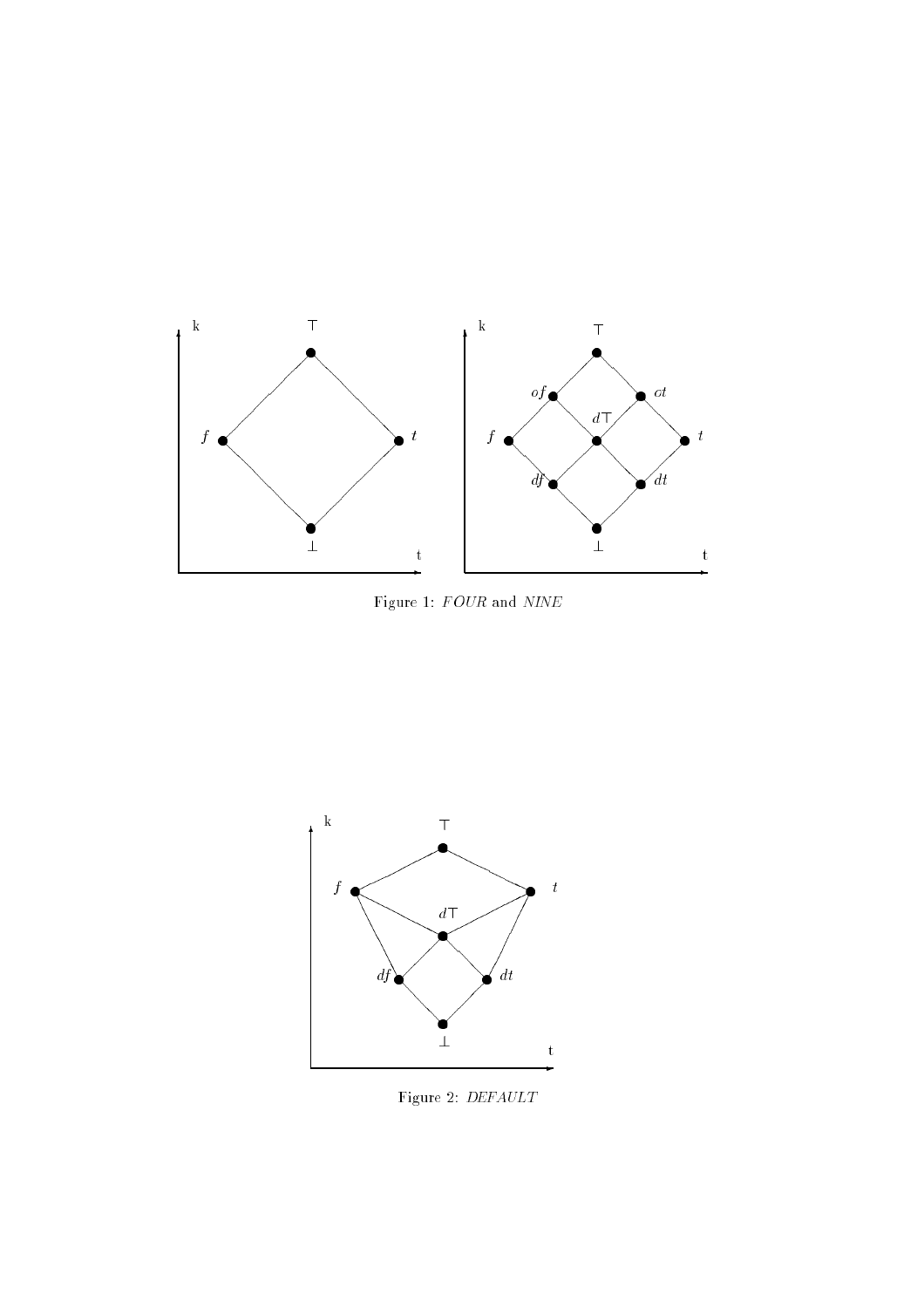

Figure 1:  $FOUR$  and  $NINE$ 



Figure 2: DEFAULT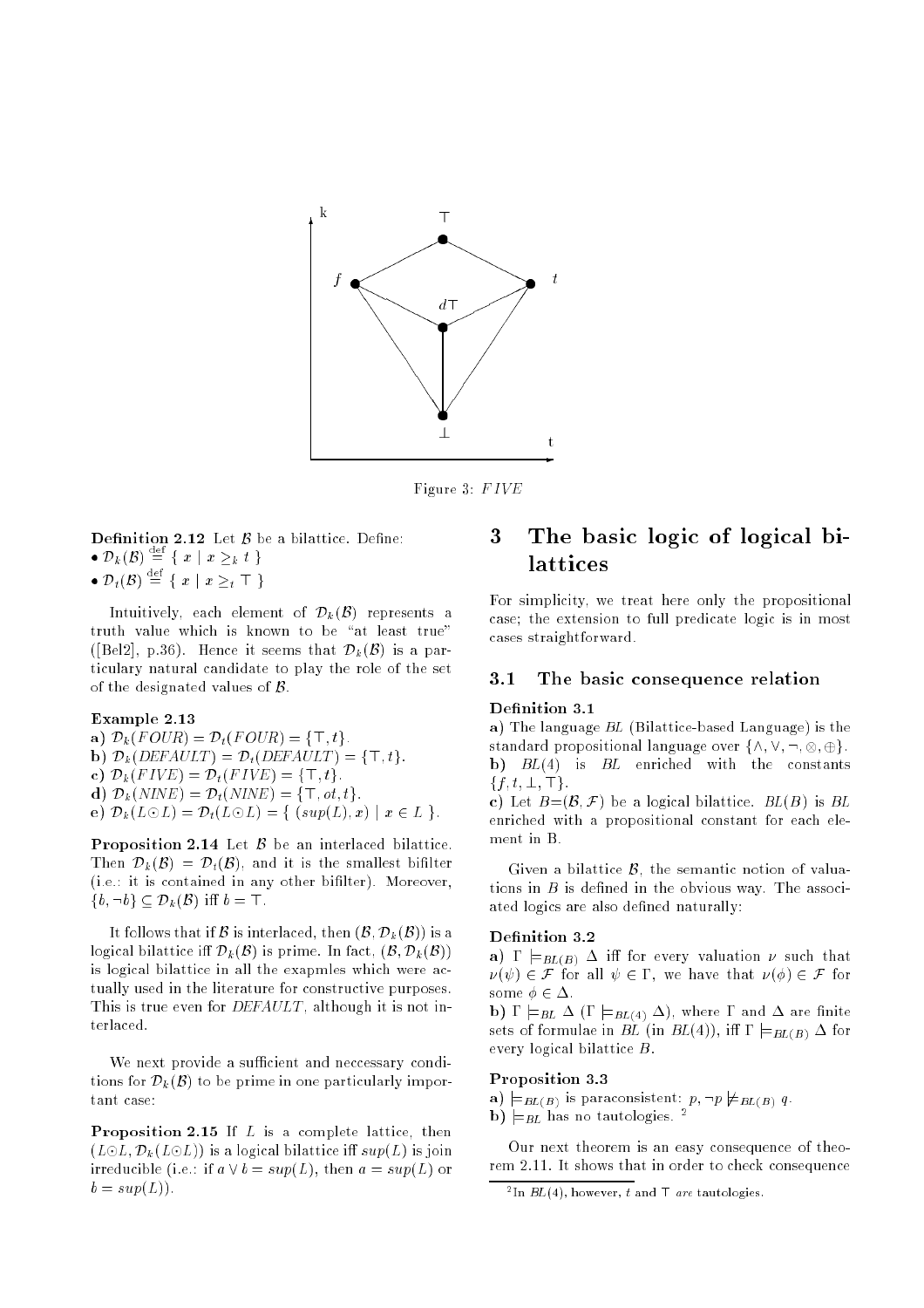

Figure 3: F IVE

- **Definition 2.12** Let  $\beta$  be a bilattice. Define:
- $\bullet \mathcal{D}_k(\mathcal{B}) \equiv \{x \mid x \geq_k t\}$
- $\bullet \mathcal{D}_t(\mathcal{B}) = \{ x \mid x \geq_t \top \}$

Intuitively, each element of  $\mathcal{D}_k(\mathcal{B})$  represents a truth value which is known to be "at least true" ([Bel2], p.36). Hence it seems that  $\mathcal{D}_k(\mathcal{B})$  is a particulary natural candidate to play the role of the set of the designated values of  $\beta$ .

#### Example 2.13

a)  $\mathcal{D}_k(FOUR) = \mathcal{D}_t(FOUR) = \{\top, t\}.$ b)  $\mathcal{D}_k(DEFAULT) = \mathcal{D}_t(DEFAULT) = \{\top, t\}.$ c)  $\mathcal{D}_k(FIVE) = \mathcal{D}_t(FIVE) = \{\top, t\}.$ d)  $\mathcal{D}_k(NINE) = \mathcal{D}_t(NINE) = \{\top, \text{ot}, t\}.$ e)  $\mathcal{D}_k(L \odot L) = \mathcal{D}_t(L \odot L) = \{ (sup(L), x) \mid x \in L \}.$ 

**Proposition 2.14** Let  $\beta$  be an interlaced bilattice. Then  $\mathcal{D}_k(\mathcal{B}) = \mathcal{D}_t(\mathcal{B})$ , and it is the smallest bifilter (i.e.: it is contained in any other bifilter). Moreover,  $\{b, \neg b\} \subset \mathcal{D}_k(\mathcal{B})$  iff  $b = \top$ .

It follows that if B is interlaced, then  $(\mathcal{B}, \mathcal{D}_k(\mathcal{B}))$  is a logical bilattice iff  $\mathcal{D}_k(\mathcal{B})$  is prime. In fact,  $(\mathcal{B}, \mathcal{D}_k(\mathcal{B}))$ is logical bilattice in all the exapmles which were actually used in the literature for constructive purposes. This is true even for *DEFAULT*, although it is not interlaced.

We next provide a sufficient and neccessary conditions for  $\mathcal{D}_k(\mathcal{B})$  to be prime in one particularly important case:

**Proposition 2.15** If  $L$  is a complete lattice, then  $(L \odot L, \mathcal{D}_k (L \odot L))$  is a logical bilattice iff  $sup(L)$  is join irreducible (i.e.: if  $a \vee b = sup(L)$ , then  $a = sup(L)$  or  $b = sup(L)$ .

#### The basic logic of logical bi-3 lattices

For simplicity, we treat here only the propositional case; the extension to full predicate logic is in most cases straightforward.

# 3.1 The basic consequence relation

# Definition 3.1

a) The language  $BL$  (Bilattice-based Language) is the standard propositional language over f^; \_; :; ; g. b)  $BL(4)$  is  $BL$  enriched with the constants  ${f, t, \bot, \top}.$ 

c) Let  $B=(\mathcal{B}, \mathcal{F})$  be a logical bilattice.  $BL(B)$  is BL enriched with a propositional constant for each element in B.

Given a bilattice  $\beta$ , the semantic notion of valuations in  $B$  is defined in the obvious way. The associated logics are also defined naturally:

#### Definition 3.2

a)  $\Gamma \models_{BL(B)} \Delta$  iff for every valuation  $\nu$  such that  $\nu(\psi) \in \mathcal{F}$  for all  $\psi \in \Gamma$ , we have that  $\nu(\phi) \in \mathcal{F}$  for some  $\phi \in \Delta$ .

b)  $\Gamma \models_{BL} \Delta (\Gamma \models_{BL(4)} \Delta)$ , where  $\Gamma$  and  $\Delta$  are finite sets of formulae in BL (in BL(4)), iff  $\Gamma \models_{BL(B)} \Delta$  for every logical bilattice B.

### Proposition 3.3

b)  $\models$ BL(B) is paraconsistent in the BL(B)  $\frac{p}{B}$  is paraconsistent in the BL(B)  $\frac{p}{B}$ 

Our next theorem is an easy consequence of theorem 2.11. It shows that in order to check consequence

 $\lceil$  In  $DL(4)$ , nowever, t and  $\lceil$  are tautologies.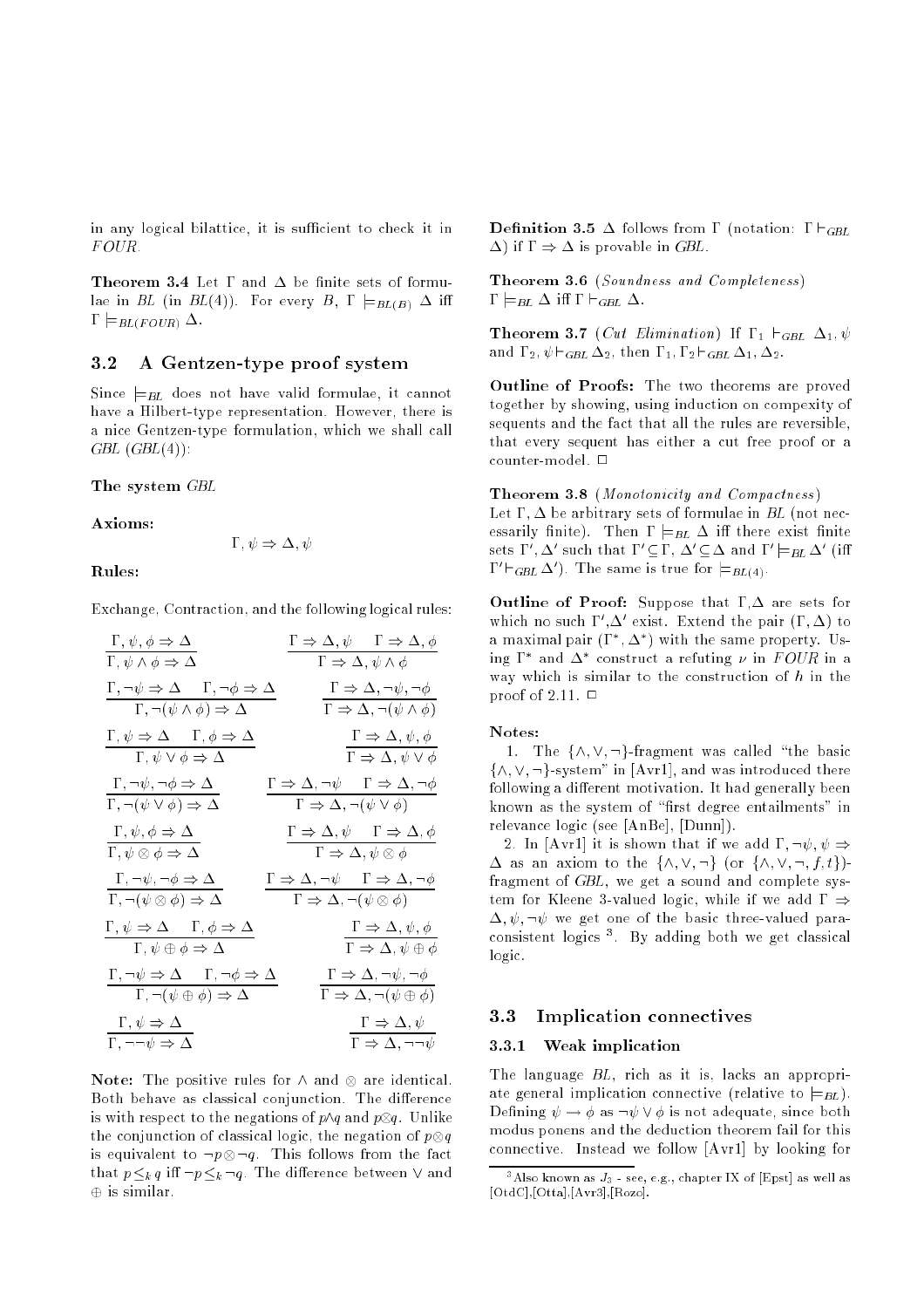in any logical bilattice, it is sufficient to check it in FOUR.

**Theorem 3.4** Let  $\Gamma$  and  $\Delta$  be finite sets of formulae in BL (in BL(4)). For every B,  $\Gamma \models_{BL(B)} \Delta$  iff  $\Gamma \models_{BL(FOUR)} \Delta$ .

# 3.2 A Gentzen-type proof system

Since  $\models$ <sub>BL</sub> does not have valid formulae, it cannot have a Hilbert-type representation. However, there is a nice Gentzen-type formulation, which we shall call  $GBL(GBL(4))$ :

## The system GBL

Axioms:

$$
\Gamma, \psi \Rightarrow \Delta, \psi
$$

# Rules:

Exchange, Contraction, and the following logical rules:

| $\Gamma, \psi, \phi \Rightarrow \Delta$               | $\Gamma \Rightarrow \Delta, \psi$                 | $\Gamma \Rightarrow \Delta, \phi$                   |
|-------------------------------------------------------|---------------------------------------------------|-----------------------------------------------------|
| $\Gamma, \neg \psi \Rightarrow \Delta$                | $\Gamma, \neg \phi \Rightarrow \Delta$            | $\Gamma \Rightarrow \Delta, \psi \land \phi$        |
| $\Gamma, \neg \psi \Rightarrow \Delta$                | $\Gamma, \neg \phi \Rightarrow \Delta$            | $\Gamma \Rightarrow \Delta, \neg \psi, \neg \phi$   |
| $\Gamma, \neg (\psi \land \phi) \Rightarrow \Delta$   | $\Gamma \Rightarrow \Delta, \neg \psi, \neg \phi$ |                                                     |
| $\Gamma, \psi \Rightarrow \Delta$                     | $\Gamma, \phi \Rightarrow \Delta$                 | $\Gamma \Rightarrow \Delta, \neg (\psi \land \phi)$ |
| $\Gamma, \psi \lor \phi \Rightarrow \Delta$           | $\Gamma \Rightarrow \Delta, \psi, \phi$           |                                                     |
| $\Gamma, \neg \psi, \neg \phi \Rightarrow \Delta$     | $\Gamma \Rightarrow \Delta, \neg \psi$            | $\Gamma \Rightarrow \Delta, \psi \lor \phi$         |
| $\Gamma, \psi, \phi \Rightarrow \Delta$               | $\Gamma \Rightarrow \Delta, \neg \psi$            | $\Gamma \Rightarrow \Delta, \neg \psi$              |
| $\Gamma, \psi, \phi \Rightarrow \Delta$               | $\Gamma \Rightarrow \Delta, \psi$                 | $\Gamma \Rightarrow \Delta, \phi$                   |
| $\Gamma, \neg \psi, \neg \phi \Rightarrow \Delta$     | $\Gamma \Rightarrow \Delta, \neg \psi$            | $\Gamma \Rightarrow \Delta, \psi \otimes \phi$      |
| $\Gamma, \neg (\psi \otimes \phi) \Rightarrow \Delta$ | $\Gamma \Rightarrow \Delta, \neg \psi$            | $\Gamma \Rightarrow \Delta, \psi, \phi$             |
| $\Gamma, \psi \Rightarrow \Delta$                     | $\$                                               |                                                     |

Note: The positive rules for ^ and are identical. Both behave as classical conjunction. The difference is with respect to the negations of p^q and <sup>p</sup>q. Unlike the conjunction of classical logic, the negation of <sup>p</sup>q is equivalent to ply you want that the fact that the fact that  $p \leq_k q$  iff  $\neg p \leq_k \neg q$ . The difference between  $\vee$  and  $\oplus$  is similar.

**Definition 3.5**  $\Delta$  follows from  $\Gamma$  (notation:  $\Gamma \vdash_{GBL}$  $(\Delta)$  if  $\Gamma \Rightarrow \Delta$  is provable in GBL.

**Theorem 3.6** (Soundness and Completeness)  $\Gamma \models_{BL} \Delta$  iff  $\Gamma \vdash_{GBL} \Delta$ .

**Theorem 3.7** (Cut Elimination) If  $\Gamma_1 \vdash_{GBL} \Delta_1, \psi$ and  $\Gamma_2$ ,  $\psi \vdash_{GBL} \Delta_2$ , then  $\Gamma_1$ ,  $\Gamma_2 \vdash_{GBL} \Delta_1$ ,  $\Delta_2$ .

Outline of Proofs: The two theorems are proved together by showing, using induction on compexity of sequents and the fact that all the rules are reversible, that every sequent has either a cut free proof or a counter-model.  $\square$ 

### Theorem 3.8 (Monotonicity and Compactness)

Let  $\Gamma$ ,  $\Delta$  be arbitrary sets of formulae in BL (not necessarily finite). Then  $\Gamma \models_{BL} \Delta$  iff there exist finite sets  $1$ ,  $\Delta$  such that  $1 \subseteq 1$ ,  $\Delta \subseteq \Delta$  and  $1 \models_{BL} \Delta$  (iii  $1 \cap GBL \Delta$  ). The same is true for  $\sqsubset_{BL(4)}$ .

Outline of Proof: Suppose that  $\Gamma, \Delta$  are sets for which no such  $1$ ,  $\Delta$  exist. Extend the pair  $(1, \Delta)$  to a maximal pair  $(1, \Delta)$  with the same property. Using  $\bf{r}$  and  $\bf{\Delta}$  construct a refuting  $\nu$  in  $\bf{r}$  our in a way which is similar to the construction of  $h$  in the proof of 2.11.  $\Box$ 

#### Notes:

1. The  $\{\wedge, \vee, \neg\}$ -fragment was called "the basic  $\{\wedge, \vee, \neg\}$ -system" in [Avr1], and was introduced there following a different motivation. It had generally been known as the system of "first degree entailments" in relevance logic (see [AnBe], [Dunn]).

2. In [Avr1] it is shown that if we add  $\Gamma$ ,  $\neg \psi$ ,  $\psi \Rightarrow$  $\Delta$  as an axiom to the  $\{\wedge, \vee, \neg\}$  (or  $\{\wedge, \vee, \neg, f, t\}$ )fragment of GBL, we get a sound and complete system for Kleene 3-valued logic, while if we add  $\Gamma \Rightarrow$  $\Delta, \psi, \neg \psi$  we get one of the basic three-valued paraconsistent logics ". By adding both we get classical logic.

#### $3.3$ Implication connectives

## 3.3.1 Weak implication

The language BL, rich as it is, lacks an appropriate general implication connective (relative to  $\models$ BL). Defining  $\psi \to \phi$  as  $\neg \psi \lor \phi$  is not adequate, since both modus ponens and the deduction theorem fail for this connective. Instead we follow [Avr1] by looking for

<sup>&</sup>lt;sup>3</sup>Also known as  $J_3$  - see, e.g., chapter IX of [Epst] as well as [OtdC],[Otta],[Avr3],[Rozo].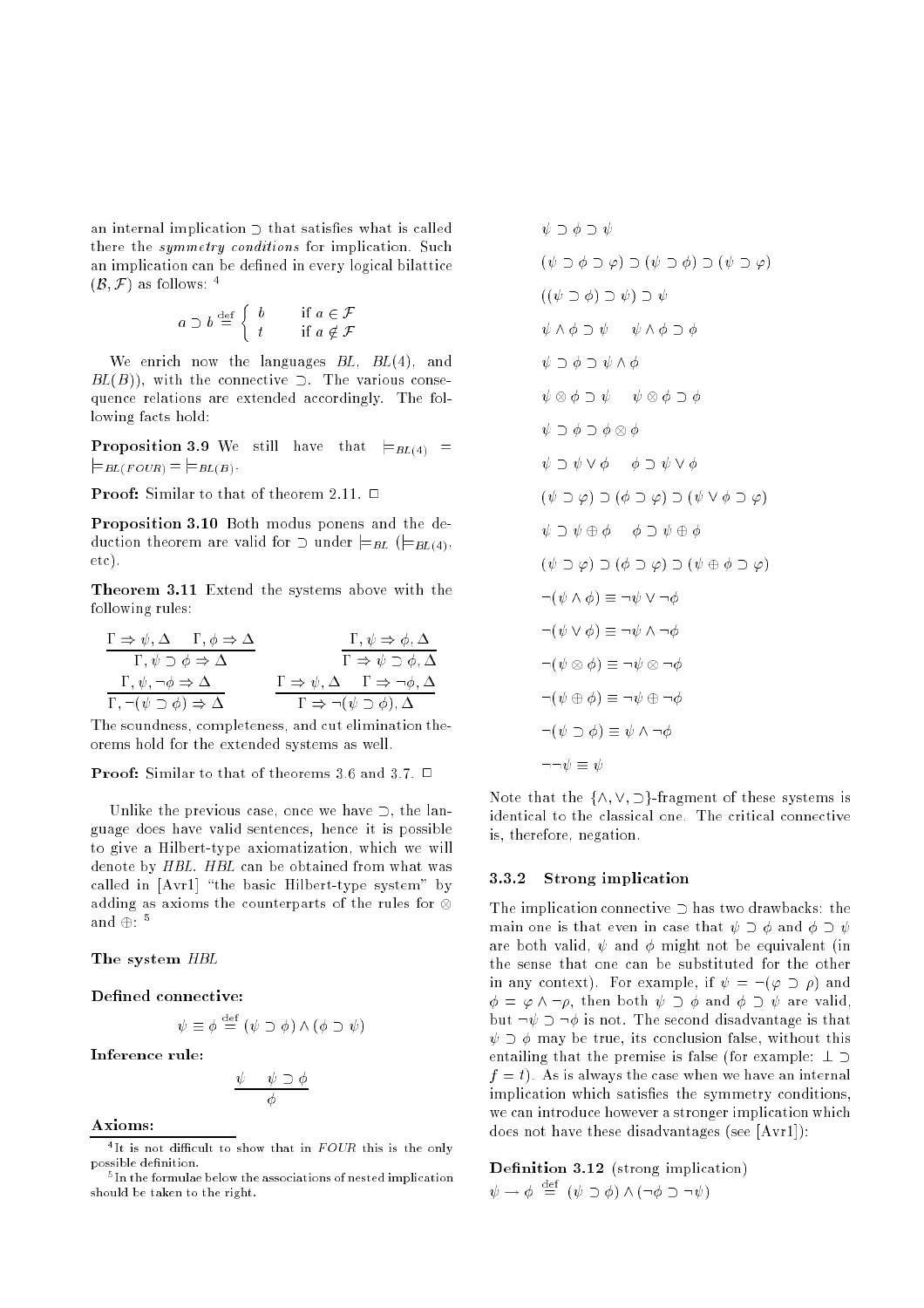an internal implication  $\supset$  that satisfies what is called there the symmetry conditions for implication. Such an implication can be defined in every logical bilattice  $(B, \mathcal{F})$  as follows: <sup>4</sup>

$$
a \supset b \stackrel{\text{def}}{=} \left\{ \begin{array}{ll} b & \text{if } a \in \mathcal{F} \\ t & \text{if } a \notin \mathcal{F} \end{array} \right.
$$

We enrich now the languages  $BL$ ,  $BL(4)$ , and  $BL(B)$ , with the connective  $\supset$ . The various consequence relations are extended accordingly. The following facts hold:

**Proposition 3.9** We still have that  $\models$ <sub>BL(4)</sub> =  $\models_{BL(FOUR)}= \models_{BL(B)}.$ 

**Proof:** Similar to that of theorem 2.11.  $\Box$ 

Proposition 3.10 Both modus ponens and the deduction theorem are valid for  $\supset$  under  $\models$ BL ( $\models$ BL(4), etc).

Theorem 3.11 Extend the systems above with the following rules:

$$
\frac{\Gamma \Rightarrow \psi, \Delta \qquad \Gamma, \phi \Rightarrow \Delta}{\Gamma, \psi \supset \phi \Rightarrow \Delta} \qquad \qquad \frac{\Gamma, \psi \Rightarrow \phi, \Delta}{\Gamma \Rightarrow \psi \supset \phi, \Delta}
$$
\n
$$
\frac{\Gamma, \psi, \neg \phi \Rightarrow \Delta}{\Gamma, \neg(\psi \supset \phi) \Rightarrow \Delta} \qquad \frac{\Gamma \Rightarrow \psi, \Delta \qquad \Gamma \Rightarrow \neg \phi, \Delta}{\Gamma \Rightarrow \neg(\psi \supset \phi), \Delta}
$$

The soundness, completeness, and cut elimination theorems hold for the extended systems as well.

**Proof:** Similar to that of theorems 3.6 and 3.7.  $\Box$ 

Unlike the previous case, once we have  $\supset$ , the language does have valid sentences, hence it is possible to give a Hilbert-type axiomatization, which we will denote by HBL. HBL can be obtained from what was called in  $[Avr1]$  "the basic Hilbert-type system" by adding as axioms the counterparts of the rules for anu ⊕: ⊺

## The system  $HBL$

## Defined connective:

$$
\psi \equiv \phi \stackrel{\text{def}}{=} (\psi \supset \phi) \land (\phi \supset \psi)
$$

Inference rule:

$$
\frac{\psi \quad \psi \supset \phi}{\phi}
$$

Axioms:

$$
\psi \cup \phi \cup \psi
$$
\n
$$
(\psi \cup \phi \cup \phi) \cup (\psi \cup \phi) \cup (\psi \cup \phi)
$$
\n
$$
((\psi \cup \phi) \cup \psi) \cup \psi
$$
\n
$$
\psi \wedge \phi \cup \psi \qquad \psi \wedge \phi \cup \phi
$$
\n
$$
\psi \cup \phi \cup \psi \wedge \phi
$$
\n
$$
\psi \cup \phi \cup \psi \wedge \phi
$$
\n
$$
\psi \otimes \phi \cup \psi \qquad \psi \otimes \phi \cup \phi
$$
\n
$$
\psi \cup \phi \cup \phi \wedge \phi
$$
\n
$$
\psi \cup \phi \wedge \phi \wedge \phi
$$
\n
$$
\psi \cup \psi \vee \phi \qquad \phi \cup \psi \vee \phi
$$
\n
$$
(\psi \cup \phi) \cup (\phi \cup \phi) \cup (\psi \vee \phi \cup \phi)
$$
\n
$$
\neg (\psi \cup \phi) \cup (\phi \cup \phi) \cup (\psi \oplus \phi \cup \phi)
$$
\n
$$
\neg (\psi \wedge \phi) \equiv \neg \psi \vee \neg \phi
$$
\n
$$
\neg (\psi \otimes \phi) \equiv \neg \psi \otimes \neg \phi
$$
\n
$$
\neg (\psi \oplus \phi) \equiv \neg \psi \oplus \neg \phi
$$
\n
$$
\neg (\psi \cup \phi) \equiv \psi \wedge \neg \phi
$$
\n
$$
\neg \neg \psi \equiv \psi
$$

 $\lambda b \rightarrow \lambda b$ 

Note that the  $\{\wedge, \vee, \supset\}$ -fragment of these systems is identical to the classical one. The critical connective is, therefore, negation.

# 3.3.2 Strong implication

The implication connective  $\supset$  has two drawbacks: the main one is that even in case that  $\psi \supset \phi$  and  $\phi \supset \psi$ are both valid,  $\psi$  and  $\phi$  might not be equivalent (in the sense that one can be substituted for the other in any context). For example, if  $\psi = \neg(\varphi \supset \rho)$  and  $\phi = \varphi \wedge \neg \rho$ , then both  $\psi \supset \phi$  and  $\phi \supset \psi$  are valid, but  $\neg \psi \supset \neg \phi$  is not. The second disadvantage is that  $\psi \supset \phi$  may be true, its conclusion false, without this entailing that the premise is false (for example:  $\perp \supset$  $f = t$ . As is always the case when we have an internal implication which satisfies the symmetry conditions, we can introduce however a stronger implication which does not have these disadvantages (see [Avr1]):

Definition  $3.12$  (strong implication)  $\psi \rightarrow \phi \equiv (\psi \supset \phi) \wedge (\neg \phi \supset \neg \psi)$ 

 $\cdot$  it is not difficult to show that in  $F$  OUR this is the only possible definition.

 $^\circ$  in the formulae below the associations of nested implication should be taken to the right.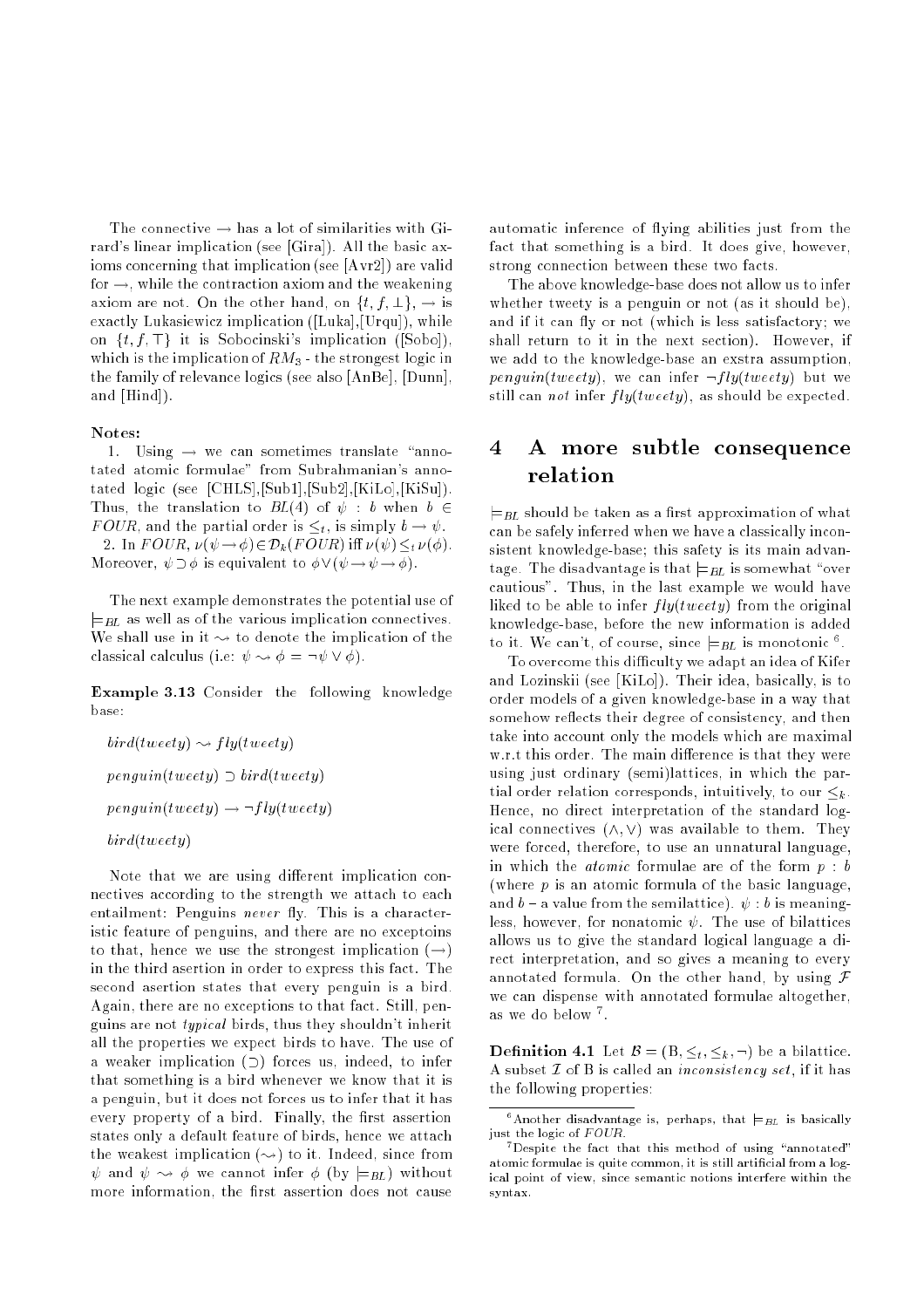The connective  $\rightarrow$  has a lot of similarities with Girard's linear implication (see [Gira]). All the basic axioms concerning that implication (see [Avr2]) are valid for  $\rightarrow$ , while the contraction axiom and the weakening axiom are not. On the other hand, on  $\{t, f, \perp\}$ ,  $\rightarrow$  is exactly Lukasiewicz implication ([Luka],[Urqu]), while on  $\{t, f, \top\}$  it is Sobocinski's implication ([Sobo]), which is the implication of  $RM_3$  - the strongest logic in the family of relevance logics (see also [AnBe], [Dunn], and [Hind]).

### Notes:

1. Using  $\rightarrow$  we can sometimes translate "annotated atomic formulae" from Subrahmanian's annotated logic (see [CHLS],[Sub1],[Sub2],[KiLo],[KiSu]). Thus, the translation to  $BL(4)$  of  $\psi : b$  when  $b \in$ FOUR, and the partial order is  $\leq_t$ , is simply  $b \to \psi$ . 2. In  $FOUR$ ,  $\nu(\psi \rightarrow \phi) \in \mathcal{D}_k(FOUR)$  iff  $\nu(\psi) \leq_t \nu(\phi)$ . Moreover,  $\psi \supset \phi$  is equivalent to  $\phi \vee (\psi \rightarrow \psi \rightarrow \phi)$ .

The next example demonstrates the potential use of  $\models$ BL as well as of the various implication connectives. We shall use in it  $\sim$  to denote the implication of the classical calculus (i.e:  $\psi \rightsquigarrow \phi = \neg \psi \vee \phi$ ).

Example 3.13 Consider the following knowledge hase<sup>.</sup>

$$
bird(tweety) \rightsquigarrow fly(tweety)
$$
\n
$$
penguin(tweety) \supset bird(tweety)
$$
\n
$$
penguin(tweety) \rightarrow \neg fly(tweety)
$$
\n
$$
bird(tweety)
$$

Note that we are using different implication connectives according to the strength we attach to each entailment: Penguins never fly. This is a characteristic feature of penguins, and there are no exceptoins to that, hence we use the strongest implication  $(\rightarrow)$ in the third asertion in order to express this fact. The second asertion states that every penguin is a bird. Again, there are no exceptions to that fact. Still, penguins are not typical birds, thus they shouldn't inherit all the properties we expect birds to have. The use of a weaker implication  $(2)$  forces us, indeed, to infer that something is a bird whenever we know that it is a penguin, but it does not forces us to infer that it has every property of a bird. Finally, the first assertion states only a default feature of birds, hence we attach the weakest implication  $(\rightarrow)$  to it. Indeed, since from  $\psi$  and  $\psi \rightsquigarrow \phi$  we cannot infer  $\phi$  (by  $\models_{BL}$ ) without more information, the first assertion does not cause

automatic inference of flying abilities just from the fact that something is a bird. It does give, however, strong connection between these two facts.

The above knowledge-base does not allow us to infer whether tweety is a penguin or not (as it should be), and if it can fly or not (which is less satisfactory; we shall return to it in the next section). However, if we add to the knowledge-base an exstra assumption, penguin(tweety), we can infer  $\neg fly(tweety)$  but we still can *not* infer  $fly(tweety)$ , as should be expected.

# <sup>4</sup> A more subtle consequence relation

 $\models$ <sub>BL</sub> should be taken as a first approximation of what can be safely inferred when we have a classically inconsistent knowledge-base; this safety is its main advantage. The disadvantage is that  $\models$ BL is somewhat "over cautious". Thus, in the last example we would have liked to be able to infer  $fly(twecty)$  from the original knowledge-base, before the new information is added to it. We can't, of course, since  $\models_{BL}$  is monotonic  $\degree$ .

To overcome this difficulty we adapt an idea of Kifer and Lozinskii (see [KiLo]). Their idea, basically, is to order models of a given knowledge-base in a way that somehow reflects their degree of consistency, and then take into account only the models which are maximal w.r.t this order. The main difference is that they were using just ordinary (semi)lattices, in which the partial order relation corresponds, intuitively, to our  $\leq_k$ . Hence, no direct interpretation of the standard logical connectives  $(\wedge, \vee)$  was available to them. They were forced, therefore, to use an unnatural language, in which the *atomic* formulae are of the form  $p$  :  $b$ (where  $p$  is an atomic formula of the basic language, and  $b$  – a value from the semilattice).  $\psi : b$  is meaningless, however, for nonatomic  $\psi$ . The use of bilattices allows us to give the standard logical language a direct interpretation, and so gives a meaning to every annotated formula. On the other hand, by using  $\mathcal F$ we can dispense with annotated formulae altogether, as we do below <sup>.</sup> .

**Definition 4.1** Let  $\mathcal{B} = (\mathbf{B}, \leq_t, \leq_k, \neg)$  be a bilattice. A subset  $\mathcal I$  of B is called an *inconsistency set*, if it has the following properties:

<sup>&</sup>lt;sup>6</sup>Another disadvantage is, perhaps, that  $\models$ <sub>BL</sub> is basically just the logic of FOUR.

 $7$ Despite the fact that this method of using "annotated" atomic formulae is quite common, it is still artificial from a logical point of view, since semantic notions interfere within the syntax.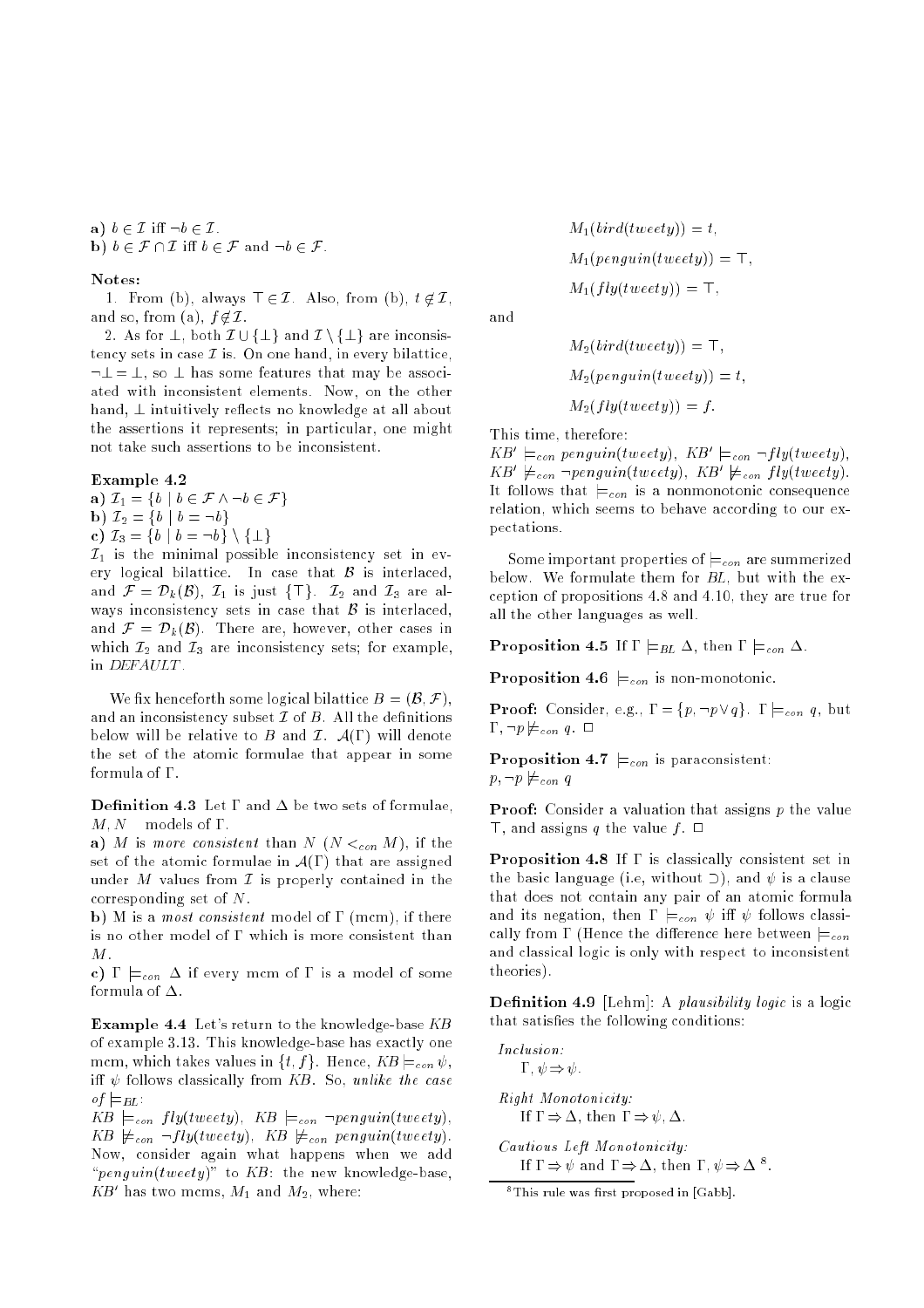a)  $b \in \mathcal{I}$  iff  $\neg b \in \mathcal{I}$ . b)  $b \in \mathcal{F} \cap \mathcal{I}$  iff  $b \in \mathcal{F}$  and  $\neg b \in \mathcal{F}$ .

## Notes:

1. From (b), always  $\top \in \mathcal{I}$ . Also, from (b),  $t \notin \mathcal{I}$ , and so, from (a),  $f \notin \mathcal{I}$ .

2. As for  $\perp$ , both  $\mathcal{I} \cup {\perp}$  and  $\mathcal{I} \setminus {\perp}$  are inconsistency sets in case  $\mathcal I$  is. On one hand, in every bilattice,  $\lnot \perp = \perp$ , so  $\perp$  has some features that may be associated with inconsistent elements. Now, on the other hand,  $\perp$  intuitively reflects no knowledge at all about the assertions it represents; in particular, one might not take such assertions to be inconsistent.

### Example 4.2

a)  $\mathcal{I}_1 = \{b \mid b \in \mathcal{F} \land \neg b \in \mathcal{F}\}\$ b)  $\mathcal{I}_2 = \{b \mid b = \neg b\}$ c)  $\mathcal{I}_3 = \{b \mid b = \neg b\} \setminus \{\perp\}$ 

 $\mathcal{I}_1$  is the minimal possible inconsistency set in every logical bilattice. In case that  $\mathcal B$  is interlaced, and  $\mathcal{F} = \mathcal{D}_k(\mathcal{B})$ ,  $\mathcal{I}_1$  is just  $\{\top\}$ .  $\mathcal{I}_2$  and  $\mathcal{I}_3$  are always inconsistency sets in case that  $\beta$  is interlaced, and  $\mathcal{F} = \mathcal{D}_k(\mathcal{B})$ . There are, however, other cases in which  $\mathcal{I}_2$  and  $\mathcal{I}_3$  are inconsistency sets; for example, in DEFAULT .

We fix henceforth some logical bilattice  $B = (B, \mathcal{F})$ , and an inconsistency subset  $\mathcal I$  of  $B$ . All the definitions below will be relative to B and  $\mathcal{I}$ .  $\mathcal{A}(\Gamma)$  will denote the set of the atomic formulae that appear in some formula of  $\Gamma$ .

**Definition 4.3** Let  $\Gamma$  and  $\Delta$  be two sets of formulae,  $M, N$  – models of  $\Gamma$ .

a) M is more consistent than  $N$  ( $N <_{con} M$ ), if the set of the atomic formulae in  $\mathcal{A}(\Gamma)$  that are assigned under M values from  $\mathcal I$  is properly contained in the corresponding set of N.

b) M is a *most consistent* model of  $\Gamma$  (mcm), if there is no other model of  $\Gamma$  which is more consistent than M.

c)  $\Gamma \models_{con} \Delta$  if every mcm of  $\Gamma$  is a model of some formula of  $\Delta$ .

Example 4.4 Let's return to the knowledge-base KB of example 3.13. This knowledge-base has exactly one mcm, which takes values in  $\{t, f\}$ . Hence,  $KB \models_{con} \psi$ , iff  $\psi$  follows classically from KB. So, unlike the case of  $\models$ BL:

 $KB \models_{con} fly(tweety), KB \models_{con} \neg penguin(tweety),$  $KB \not\models_{con} \neg fly(tweety), KB \not\models_{con} penguin(tweety).$ Now, consider again what happens when we add " $penguin(tweety)$ " to KB: the new knowledge-base,  $\Delta D$  has two mcms,  $M_1$  and  $M_2$ , where:

$$
M_1(bird(tweety)) = t,
$$
  
\n
$$
M_1(penguin(tweety)) = \top,
$$
  
\n
$$
M_1(fly(tweety)) = \top,
$$

and

$$
M_2(vira(tweety)) = +,
$$
  
\n
$$
M_2(penguin(tweety)) = t,
$$
  
\n
$$
M_2(fly(tweety)) = f.
$$

This time, therefore:

 $\Delta D = \equiv_{con}$  penguin(tweety),  $\Delta D = \equiv_{con} \neg f(y(iwee_i)y)$ ,  $\Delta D \equiv_{con} \neg p$ enguin(tweety),  $\Delta D \equiv_{con} f$ ty(tweety). It follows that  $\models_{con}$  is a nonmonotonic consequence relation, which seems to behave according to our expectations.

Some important properties of  $\models_{con}$  are summerized below. We formulate them for BL, but with the exception of propositions 4.8 and 4.10, they are true for all the other languages as well.

**Proposition 4.5** If  $\Gamma \models_{BL} \Delta$ , then  $\Gamma \models_{con} \Delta$ .

Proposition 4.6  $\vDash_{con}$  is non-monotonic.

**Proof:** Consider, e.g.,  $\Gamma = \{p, \neg p \lor q\}$ .  $\Gamma \models_{con} q$ , but  $\Gamma$ ,  $\neg p \not\models_{con} q$ .  $\Box$ 

**Proposition 4.7**  $\models_{con}$  is paraconsistent:

$$
p,\neg p \not\models_{con} q
$$

**Proof:** Consider a valuation that assigns p the value  $\top$ , and assigns q the value f.  $\Box$ 

**Proposition 4.8** If  $\Gamma$  is classically consistent set in the basic language (i.e, without  $\supset$ ), and  $\psi$  is a clause that does not contain any pair of an atomic formula and its negation, then  $\Gamma \models_{con} \psi$  iff  $\psi$  follows classically from  $\Gamma$  (Hence the difference here between  $\models_{con}$ and classical logic is only with respect to inconsistent theories).

**Definition 4.9** [Lehm]: A plausibility logic is a logic that satisfies the following conditions:

Inclusion:  $\Gamma, \psi \Rightarrow \psi$ . Right Monotonicity: If  $\Gamma \Rightarrow \Delta$ , then  $\Gamma \Rightarrow \psi, \Delta$ . Cautious Left Monotonicity: If  $1 \Rightarrow \psi$  and  $1 \Rightarrow \Delta$ , then  $1$ ,  $\psi \Rightarrow \Delta$ .

 $8$ This rule was first proposed in [Gabb].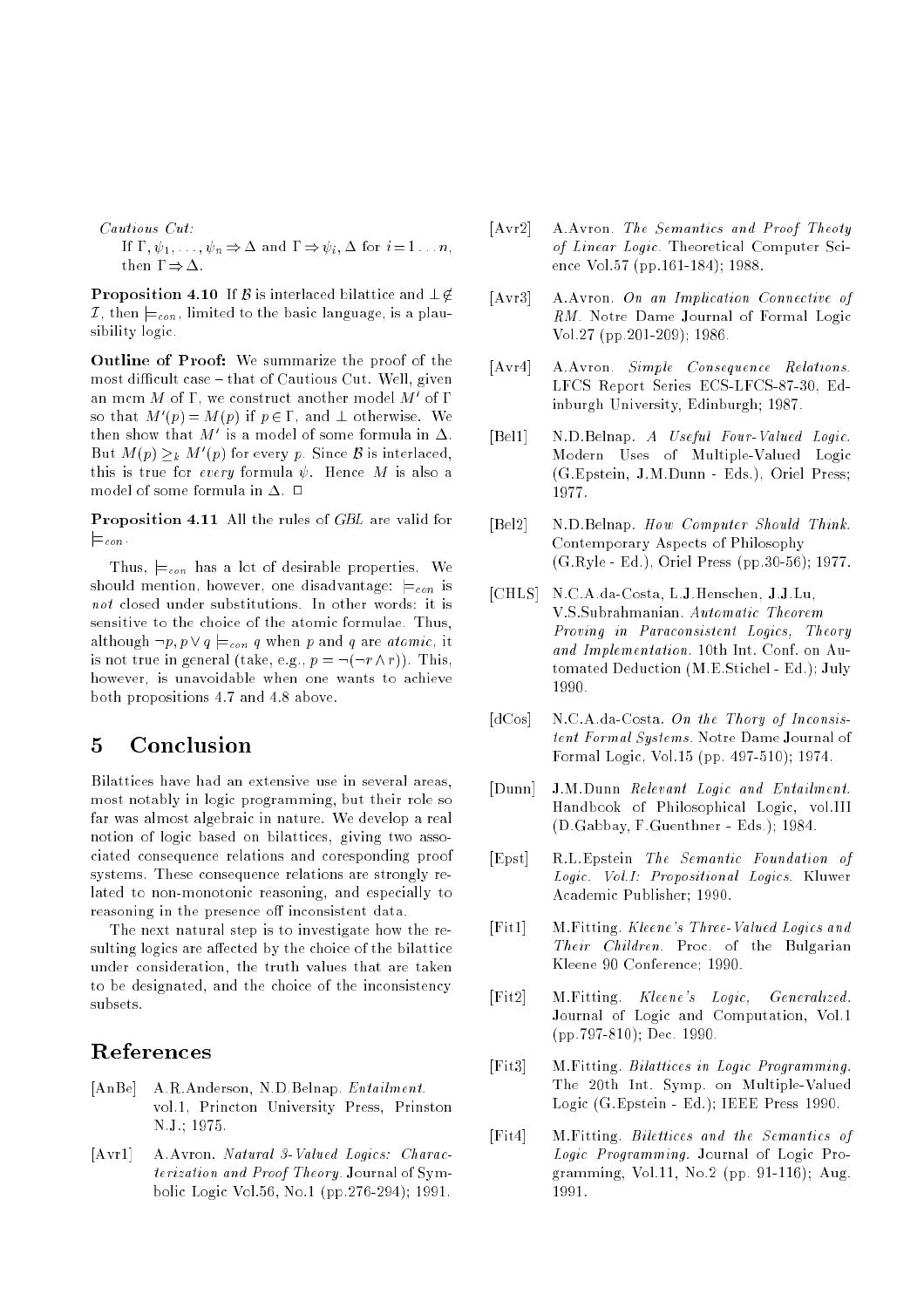Cautious Cut: If  $\Gamma, \psi_1, \ldots, \psi_n \Rightarrow \Delta$  and  $\Gamma \Rightarrow \psi_i, \Delta$  for  $i = 1 \ldots n$ , then  $\Gamma \Rightarrow \Delta$ .

**Proposition 4.10** If  $\beta$  is interlaced bilattice and  $\bot \notin$ I, then  $\models_{con}$ , limited to the basic language, is a plausibility logic.

Outline of Proof: We summarize the proof of the most difficult case  $=$  that of Cautious Cut. Well, given an m $cm\ M$  of  $1$  , we construct another model  $M$  of  $1$ so that  $M_p(p) = M(p)$  if  $p \in I$ , and  $\bot$  otherwise. We then show that  $M$  is a model of some formula in  $\Delta$ . But  $M(p) \geq k$  M (p) for every p. Since B is interlaced, this is true for every formula  $\psi$ . Hence M is also a

Proposition 4.11 All the rules of GBL are valid for  $\vDash_{con}$ .

Thus,  $\vDash_{con}$  has a lot of desirable properties. We should mention, however, one disadvantage:  $\models_{con}$  is not closed under substitutions. In other words: it is sensitive to the choice of the atomic formulae. Thus, although  $\neg p, p \lor q \models_{con} q$  when p and q are atomic, it is not true in general (take, e.g.,  $p = \neg(\neg r \wedge r)$ ). This, however, is unavoidable when one wants to achieve both propositions 4.7 and 4.8 above.

#### $\overline{5}$ **Conclusion**

Bilattices have had an extensive use in several areas, most notably in logic programming, but their role so far was almost algebraic in nature. We develop a real notion of logic based on bilattices, giving two associated consequence relations and coresponding proof systems. These consequence relations are strongly related to non-monotonic reasoning, and especially to reasoning in the presence off inconsistent data.

The next natural step is to investigate how the resulting logics are affected by the choice of the bilattice under consideration, the truth values that are taken to be designated, and the choice of the inconsistency

# References

- [AnBe] A.R.Anderson, N.D.Belnap. Entailment. vol.1, Princton University Press, Prinston N.J.; 1975.
- [Avr1] A.Avron. Natural 3-Valued Logics: Characterization and Proof Theory. Journal of Symbolic Logic Vol.56, No.1 (pp.276-294); 1991.
- [Avr2] A.Avron. The Semantics and Proof Theoty of Linear Logic. Theoretical Computer Science Vol.57 (pp.161-184); 1988.
- [Avr3] A.Avron. On an Implication Connective of RM. Notre Dame Journal of Formal Logic Vol.27 (pp.201-209); 1986.
- [Avr4] A.Avron. Simple Consequence Relations. LFCS Report Series ECS-LFCS-87-30, Edinburgh University, Edinburgh; 1987.
- [Bel1] N.D.Belnap. A Useful Four-Valued Logic. Modern Uses of Multiple-Valued Logic (G.Epstein, J.M.Dunn - Eds.), Oriel Press; 1977.
- [Bel2] N.D.Belnap. How Computer Should Think. Contemporary Aspects of Philosophy (G.Ryle - Ed.), Oriel Press (pp.30-56); 1977.
- [CHLS] N.C.A.da-Costa, L.J.Henschen, J.J.Lu, V.S.Subrahmanian. Automatic Theorem Proving in Paraconsistent Logics, Theory and Implementation. 10th Int. Conf. on Automated Deduction (M.E.Stichel - Ed.); July 1990.
- $[dCos]$  N.C.A.da-Costa. On the Thory of Inconsistent Formal Systems. Notre Dame Journal of Formal Logic, Vol.15 (pp. 497-510); 1974.
- [Dunn] J.M.Dunn Relevant Logic and Entailment. Handbook of Philosophical Logic, vol.III (D.Gabbay, F.Guenthner - Eds.); 1984.
- [Epst] R.L.Epstein The Semantic Foundation of Logic. Vol.I: Propositional Logics. Kluwer Academic Publisher; 1990.
- [Fit1] M.Fitting. Kleene's Three-Valued Logics and Their Children. Proc. of the Bulgarian Kleene 90 Conference; 1990.
- [Fit2] M.Fitting. Kleene's Logic, Generalized. Journal of Logic and Computation, Vol.1 (pp.797-810); Dec. 1990.
- [Fit3] M.Fitting. Bilattices in Logic Programming. The 20th Int. Symp. on Multiple-Valued Logic (G.Epstein - Ed.); IEEE Press 1990.
- [Fit4] M.Fitting. Bilettices and the Semantics of Logic Programming. Journal of Logic Programming, Vol.11, No.2 (pp. 91-116); Aug. 1991.